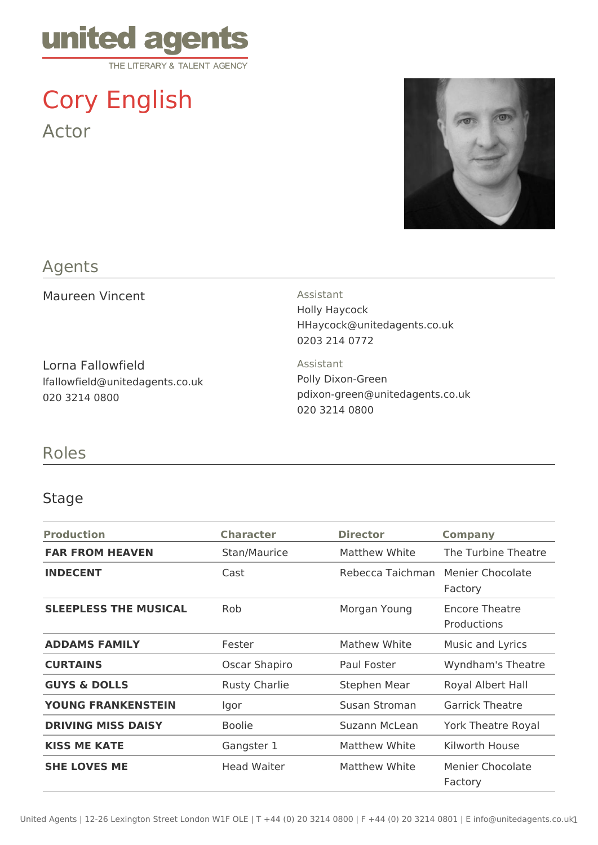

# Cory English Actor



## Agents

Maureen Vincent **Assistant** 

Lorna Fallowfield lfallowfield@unitedagents.co.uk 020 3214 0800

Holly Haycock HHaycock@unitedagents.co.uk 0203 214 0772

Assistant Polly Dixon-Green pdixon-green@unitedagents.co.uk 020 3214 0800

### Roles

#### Stage

| <b>Production</b>            | <b>Character</b>     | <b>Director</b>     | <b>Company</b>                |
|------------------------------|----------------------|---------------------|-------------------------------|
| <b>FAR FROM HEAVEN</b>       | Stan/Maurice         | Matthew White       | The Turbine Theatre           |
| <b>INDECENT</b>              | Cast                 | Rebecca Taichman    | Menier Chocolate<br>Factory   |
| <b>SLEEPLESS THE MUSICAL</b> | <b>Rob</b>           | Morgan Young        | Encore Theatre<br>Productions |
| <b>ADDAMS FAMILY</b>         | Fester               | Mathew White        | Music and Lyrics              |
| <b>CURTAINS</b>              | Oscar Shapiro        | Paul Foster         | Wyndham's Theatre             |
| <b>GUYS &amp; DOLLS</b>      | <b>Rusty Charlie</b> | <b>Stephen Mear</b> | Royal Albert Hall             |
| <b>YOUNG FRANKENSTEIN</b>    | Igor                 | Susan Stroman       | <b>Garrick Theatre</b>        |
| <b>DRIVING MISS DAISY</b>    | <b>Boolie</b>        | Suzann McLean       | <b>York Theatre Royal</b>     |
| <b>KISS ME KATE</b>          | Gangster 1           | Matthew White       | Kilworth House                |
| <b>SHE LOVES ME</b>          | <b>Head Waiter</b>   | Matthew White       | Menier Chocolate<br>Factory   |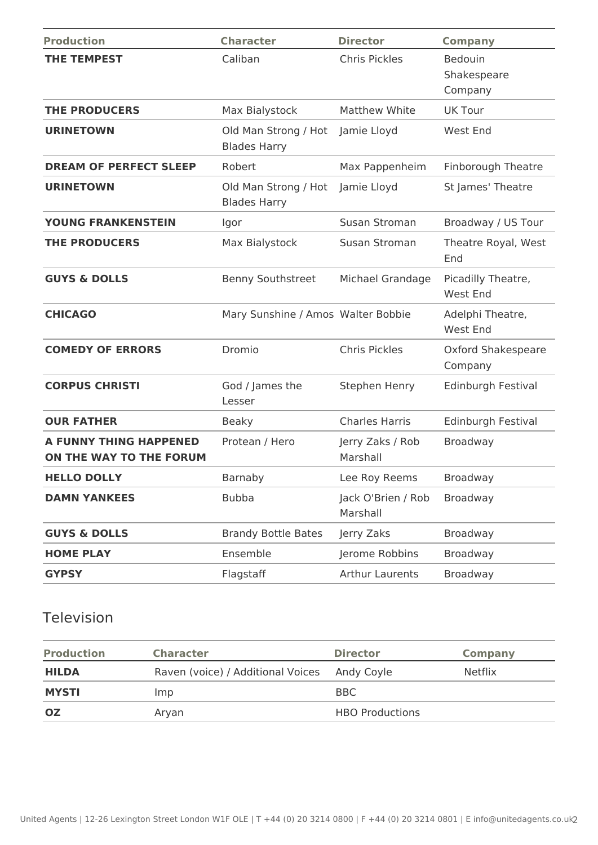| <b>Production</b>                                        | <b>Character</b>                            | <b>Director</b>                            | <b>Company</b>                           |  |
|----------------------------------------------------------|---------------------------------------------|--------------------------------------------|------------------------------------------|--|
| <b>THE TEMPEST</b>                                       | Caliban                                     | <b>Chris Pickles</b>                       | <b>Bedouin</b><br>Shakespeare<br>Company |  |
| <b>THE PRODUCERS</b>                                     | Max Bialystock                              | <b>Matthew White</b>                       | <b>UK Tour</b>                           |  |
| <b>URINETOWN</b>                                         | Old Man Strong / Hot<br><b>Blades Harry</b> | Jamie Lloyd                                | West End                                 |  |
| <b>DREAM OF PERFECT SLEEP</b>                            | Robert                                      | Max Pappenheim                             | <b>Finborough Theatre</b>                |  |
| <b>URINETOWN</b>                                         | Old Man Strong / Hot<br><b>Blades Harry</b> | Jamie Lloyd                                | St James' Theatre                        |  |
| <b>YOUNG FRANKENSTEIN</b>                                | Igor                                        | Susan Stroman                              | Broadway / US Tour                       |  |
| <b>THE PRODUCERS</b>                                     | Max Bialystock                              | Susan Stroman                              | Theatre Royal, West<br>End               |  |
| <b>GUYS &amp; DOLLS</b>                                  | <b>Benny Southstreet</b>                    | Michael Grandage                           | Picadilly Theatre,<br>West End           |  |
| <b>CHICAGO</b>                                           | Mary Sunshine / Amos Walter Bobbie          |                                            | Adelphi Theatre,<br>West End             |  |
| <b>COMEDY OF ERRORS</b>                                  | Dromio                                      | <b>Chris Pickles</b>                       | Oxford Shakespeare<br>Company            |  |
| <b>CORPUS CHRISTI</b>                                    | God / James the<br>Lesser                   | Stephen Henry                              | Edinburgh Festival                       |  |
| <b>OUR FATHER</b>                                        | <b>Beaky</b>                                | <b>Charles Harris</b>                      | Edinburgh Festival                       |  |
| <b>A FUNNY THING HAPPENED</b><br>ON THE WAY TO THE FORUM | Protean / Hero                              | Jerry Zaks / Rob<br>Marshall               | Broadway                                 |  |
| <b>HELLO DOLLY</b>                                       | Barnaby                                     | Lee Roy Reems                              | Broadway                                 |  |
| <b>DAMN YANKEES</b>                                      | <b>Bubba</b>                                | Jack O'Brien / Rob<br>Broadway<br>Marshall |                                          |  |
| <b>GUYS &amp; DOLLS</b>                                  | <b>Brandy Bottle Bates</b>                  | Jerry Zaks                                 | Broadway                                 |  |
| <b>HOME PLAY</b>                                         | Ensemble                                    | Jerome Robbins                             | Broadway                                 |  |
| <b>GYPSY</b>                                             | Flagstaff                                   | <b>Arthur Laurents</b>                     | Broadway                                 |  |

# Television

| <b>Production</b> | <b>Character</b>                  | <b>Director</b>        | <b>Company</b> |
|-------------------|-----------------------------------|------------------------|----------------|
| <b>HILDA</b>      | Raven (voice) / Additional Voices | Andy Coyle             | <b>Netflix</b> |
| <b>MYSTI</b>      | Imp.                              | BBC.                   |                |
| <b>OZ</b>         | Aryan                             | <b>HBO Productions</b> |                |